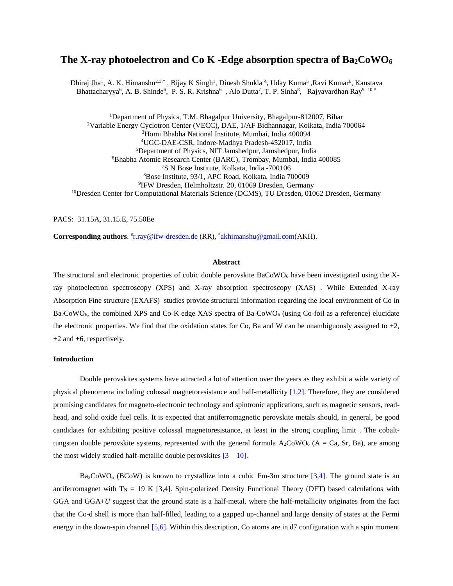# **The X-ray photoelectron and Co K -Edge absorption spectra of Ba2CoWO<sup>6</sup>**

Dhiraj Jha<sup>1</sup>, A. K. Himanshu<sup>2,3,\*</sup>, Bijay K Singh<sup>1</sup>, Dinesh Shukla<sup>4</sup>, Uday Kuma<sup>5</sup>, Ravi Kumar<sup>6</sup>, Kaustava Bhattacharyya<sup>6</sup>, A. B. Shinde<sup>6</sup>, P. S. R. Krishna<sup>6</sup>, Alo Dutta<sup>7</sup>, T. P. Sinha<sup>8</sup>, Rajyavardhan Ray<sup>9, 10#</sup>

<sup>1</sup>Department of Physics, T.M. Bhagalpur University, Bhagalpur-812007, Bihar Variable Energy Cyclotron Center (VECC), DAE, 1/AF Bidhannagar, Kolkata, India 700064 Homi Bhabha National Institute, Mumbai, India 400094 UGC-DAE-CSR, Indore-Madhya Pradesh-452017, India Department of Physics, NIT Jamshedpur, Jamshedpur, India Bhabha Atomic Research Center (BARC), Trombay, Mumbai, India 400085 S N Bose Institute, Kolkata, India -700106 Bose Institute, 93/1, APC Road, Kolkata, India 700009 IFW Dresden, Helmholtzstr. 20, 01069 Dresden, Germany <sup>10</sup>Dresden Center for Computational Materials Science (DCMS), TU Dresden, 01062 Dresden, Germany

PACS: 31.15A, 31.15.E, 75.50Ee

Corresponding authors. <sup>#</sup><u>[r.ray@ifw-dresden.de](mailto:r.ray@ifw-dresden.de)</u> (RR), \*[akhimanshu@gmail.com\(](mailto:akhimanshu@gmail.com)AKH).

#### **Abstract**

The structural and electronic properties of cubic double perovskite  $BaCoWO<sub>6</sub>$  have been investigated using the Xray photoelectron spectroscopy (XPS) and X-ray absorption spectroscopy (XAS) . While Extended X-ray Absorption Fine structure (EXAFS) studies provide structural information regarding the local environment of Co in Ba<sub>2</sub>CoWO<sub>6</sub>, the combined XPS and Co-K edge XAS spectra of Ba<sub>2</sub>CoWO<sub>6</sub> (using Co-foil as a reference) elucidate the electronic properties. We find that the oxidation states for Co, Ba and W can be unambiguously assigned to  $+2$ , +2 and +6, respectively.

### **Introduction**

Double perovskites systems have attracted a lot of attention over the years as they exhibit a wide variety of physical phenomena including colossal magnetoresistance and half-metallicity [1,2]. Therefore, they are considered promising candidates for magneto-electronic technology and spintronic applications, such as magnetic sensors, readhead, and solid oxide fuel cells. It is expected that antiferromagnetic perovskite metals should, in general, be good candidates for exhibiting positive colossal magnetoresistance, at least in the strong coupling limit . The cobalttungsten double perovskite systems, represented with the general formula  $A_2$ CoWO<sub>6</sub> (A = Ca, Sr, Ba), are among the most widely studied half-metallic double perovskites  $[3 - 10]$ .

 $Ba_2CoWO_6$  (BCoW) is known to crystallize into a cubic Fm-3m structure [3,4]. The ground state is an antiferromagnet with  $T_N = 19$  K [3,4]. Spin-polarized Density Functional Theory (DFT) based calculations with GGA and GGA+*U* suggest that the ground state is a half-metal, where the half-metallicity originates from the fact that the Co-d shell is more than half-filled, leading to a gapped up-channel and large density of states at the Fermi energy in the down-spin channel [5,6]. Within this description, Co atoms are in d7 configuration with a spin moment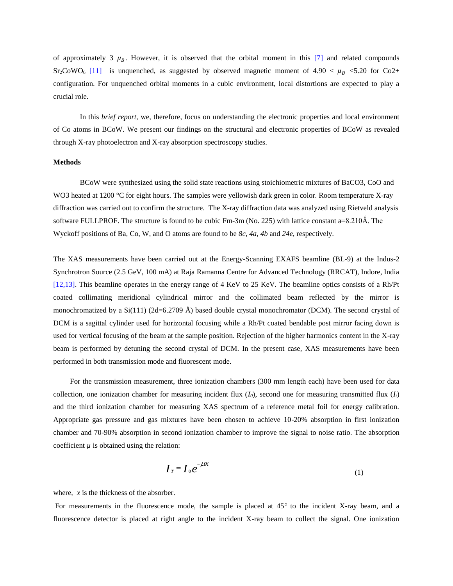of approximately 3  $\mu_B$ . However, it is observed that the orbital moment in this [7] and related compounds Sr<sub>2</sub>CoWO<sub>6</sub> [11] is unquenched, as suggested by observed magnetic moment of 4.90  $\lt \mu_B \lt 5.20$  for Co2+ configuration. For unquenched orbital moments in a cubic environment, local distortions are expected to play a crucial role.

In this *brief report*, we, therefore, focus on understanding the electronic properties and local environment of Co atoms in BCoW. We present our findings on the structural and electronic properties of BCoW as revealed through X-ray photoelectron and X-ray absorption spectroscopy studies.

## **Methods**

BCoW were synthesized using the solid state reactions using stoichiometric mixtures of BaCO3, CoO and WO3 heated at 1200 °C for eight hours. The samples were yellowish dark green in color. Room temperature X-ray diffraction was carried out to confirm the structure. The X-ray diffraction data was analyzed using Rietveld analysis software FULLPROF. The structure is found to be cubic Fm-3m (No. 225) with lattice constant  $a=8.210\text{\AA}$ . The Wyckoff positions of Ba, Co, W, and O atoms are found to be *8c*, *4a*, *4b* and *24e*, respectively.

The XAS measurements have been carried out at the Energy-Scanning EXAFS beamline (BL-9) at the Indus-2 Synchrotron Source (2.5 GeV, 100 mA) at Raja Ramanna Centre for Advanced Technology (RRCAT), Indore, India [12,13]. This beamline operates in the energy range of 4 KeV to 25 KeV. The beamline optics consists of a Rh/Pt coated collimating meridional cylindrical mirror and the collimated beam reflected by the mirror is monochromatized by a  $Si(111)$  (2d=6.2709 Å) based double crystal monochromator (DCM). The second crystal of DCM is a sagittal cylinder used for horizontal focusing while a Rh/Pt coated bendable post mirror facing down is used for vertical focusing of the beam at the sample position. Rejection of the higher harmonics content in the X-ray beam is performed by detuning the second crystal of DCM. In the present case, XAS measurements have been performed in both transmission mode and fluorescent mode.

 For the transmission measurement, three ionization chambers (300 mm length each) have been used for data collection, one ionization chamber for measuring incident flux  $(I_0)$ , second one for measuring transmitted flux  $(I_0)$ and the third ionization chamber for measuring XAS spectrum of a reference metal foil for energy calibration. Appropriate gas pressure and gas mixtures have been chosen to achieve 10-20% absorption in first ionization chamber and 70-90% absorption in second ionization chamber to improve the signal to noise ratio. The absorption coefficient  $\mu$  is obtained using the relation:

$$
\boldsymbol{I}_T = \boldsymbol{I}_0 e^{-\mu x}
$$
 (1)

where, *x* is the thickness of the absorber.

For measurements in the fluorescence mode, the sample is placed at  $45^{\circ}$  to the incident X-ray beam, and a fluorescence detector is placed at right angle to the incident X-ray beam to collect the signal. One ionization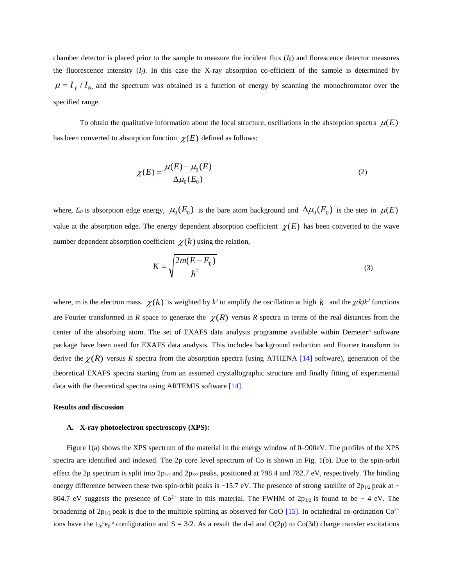chamber detector is placed prior to the sample to measure the incident flux  $(I<sub>0</sub>)$  and florescence detector measures the fluorescence intensity  $(I_f)$ . In this case the X-ray absorption co-efficient of the sample is determined by  $\mu = I_f / I_0$ , and the spectrum was obtained as a function of energy by scanning the monochromator over the specified range.

To obtain the qualitative information about the local structure, oscillations in the absorption spectra  $\mu(E)$ has been converted to absorption function  $\chi(E)$  defined as follows:

$$
\chi(E) = \frac{\mu(E) - \mu_0(E)}{\Delta \mu_0(E_0)}
$$
\n(2)

where,  $E_0$  is absorption edge energy,  $\mu_0(E_0)$  is the bare atom background and  $\Delta\mu_0(E_0)$  is the step in  $\mu(E)$ value at the absorption edge. The energy dependent absorption coefficient  $\chi(E)$  has been converted to the wave number dependent absorption coefficient  $\chi(k)$  using the relation,

$$
K = \sqrt{\frac{2m(E - E_0)}{\hbar^2}}
$$
 (3)

where, m is the electron mass.  $\chi(k)$  is weighted by  $k^2$  to amplify the oscillation at high k and the  $\chi(k)k^2$  functions are Fourier transformed in *R* space to generate the  $\chi(R)$  versus *R* spectra in terms of the real distances from the center of the absorbing atom. The set of EXAFS data analysis programme available within Demeter<sup>3</sup> software package have been used for EXAFS data analysis. This includes background reduction and Fourier transform to derive the  $\chi(R)$  versus R spectra from the absorption spectra (using ATHENA [14] software), generation of the theoretical EXAFS spectra starting from an assumed crystallographic structure and finally fitting of experimental data with the theoretical spectra using ARTEMIS software [14].

#### **Results and discussion**

#### **A. X-ray photoelectron spectroscopy (XPS):**

Figure 1(a) shows the XPS spectrum of the material in the energy window of 0–900eV. The profiles of the XPS spectra are identified and indexed. The 2p core level spectrum of Co is shown in Fig. 1(b). Due to the spin-orbit effect the 2p spectrum is split into  $2p_{1/2}$  and  $2p_{3/2}$  peaks, positioned at 798.4 and 782.7 eV, respectively. The binding energy difference between these two spin-orbit peaks is ~15.7 eV. The presence of strong satellite of  $2p_{1/2}$  peak at ~ 804.7 eV suggests the presence of  $Co^{2+}$  state in this material. The FWHM of  $2p_{1/2}$  is found to be ~ 4 eV. The broadening of  $2p_{1/2}$  peak is due to the multiple splitting as observed for CoO [15]. In octahedral co-ordination Co<sup>2+</sup> ions have the t<sub>2g</sub><sup>5</sup>e<sub>g</sub><sup>2</sup> configuration and S = 3/2. As a result the d-d and O(2p) to Co(3d) charge transfer excitations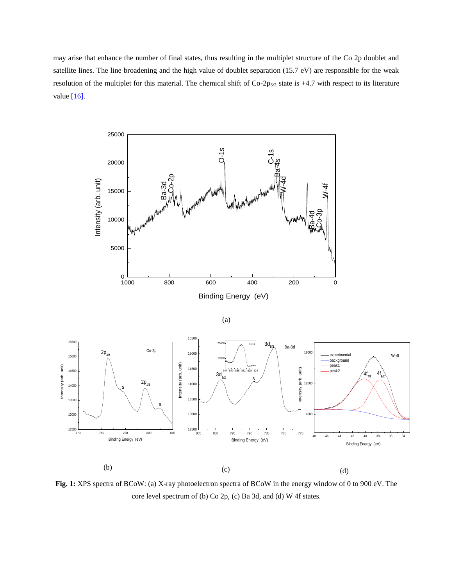may arise that enhance the number of final states, thus resulting in the multiplet structure of the Co 2p doublet and satellite lines. The line broadening and the high value of doublet separation (15.7 eV) are responsible for the weak resolution of the multiplet for this material. The chemical shift of Co-2p<sub>3/2</sub> state is +4.7 with respect to its literature value [16].



(a)



**Fig. 1:** XPS spectra of BCoW: (a) X-ray photoelectron spectra of BCoW in the energy window of 0 to 900 eV. The core level spectrum of (b) Co 2p, (c) Ba 3d, and (d) W 4f states.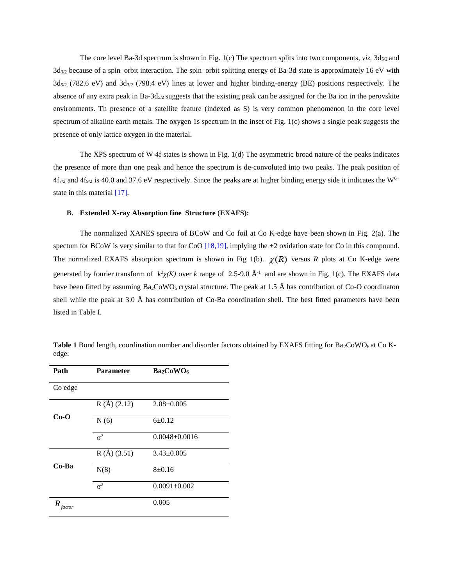The core level Ba-3d spectrum is shown in Fig. 1(c) The spectrum splits into two components,  $viz$ . 3d<sub>5/2</sub> and  $3d_{3/2}$  because of a spin–orbit interaction. The spin–orbit splitting energy of Ba-3d state is approximately 16 eV with 3d5/2 (782.6 eV) and 3d3/2 (798.4 eV) lines at lower and higher binding-energy (BE) positions respectively. The absence of any extra peak in Ba-3d $_{5/2}$  suggests that the existing peak can be assigned for the Ba ion in the perovskite environments. Th presence of a satellite feature (indexed as S) is very common phenomenon in the core level spectrum of alkaline earth metals. The oxygen 1s spectrum in the inset of Fig. 1(c) shows a single peak suggests the presence of only lattice oxygen in the material.

The XPS spectrum of W 4f states is shown in Fig. 1(d) The asymmetric broad nature of the peaks indicates the presence of more than one peak and hence the spectrum is de-convoluted into two peaks. The peak position of  $4f_{7/2}$  and  $4f_{9/2}$  is 40.0 and 37.6 eV respectively. Since the peaks are at higher binding energy side it indicates the W<sup>6+</sup> state in this material [17].

#### **B. Extended X-ray Absorption fine Structure** (**EXAFS):**

The normalized XANES spectra of BCoW and Co foil at Co K-edge have been shown in Fig. 2(a). The spectum for BCoW is very similar to that for CoO  $[18,19]$ , implying the +2 oxidation state for Co in this compound. The normalized EXAFS absorption spectrum is shown in Fig 1(b).  $\chi(R)$  versus *R* plots at Co K-edge were generated by fourier transform of  $k^2 \chi(K)$  over *k* range of 2.5-9.0 Å<sup>-1</sup> and are shown in Fig. 1(c). The EXAFS data have been fitted by assuming  $Ba_2CoWO_6$  crystal structure. The peak at 1.5 Å has contribution of Co-O coordinaton shell while the peak at 3.0 Å has contribution of Co-Ba coordination shell. The best fitted parameters have been listed in Table I.

| Path        | <b>Parameter</b> | Ba <sub>2</sub> CoWO <sub>6</sub> |
|-------------|------------------|-----------------------------------|
| Co edge     |                  |                                   |
| $Co-O$      | R(A) (2.12)      | $2.08 \pm 0.005$                  |
|             | N(6)             | $6 \pm 0.12$                      |
|             | $\sigma^2$       | $0.0048 \pm 0.0016$               |
| Co-Ba       | R(A) (3.51)      | $3.43 \pm 0.005$                  |
|             | N(8)             | 8 ± 0.16                          |
|             | $\sigma^2$       | $0.0091 \pm 0.002$                |
| R<br>factor |                  | 0.005                             |

**Table 1** Bond length, coordination number and disorder factors obtained by EXAFS fitting for  $Ba_2CoWO_6$  at Co Kedge.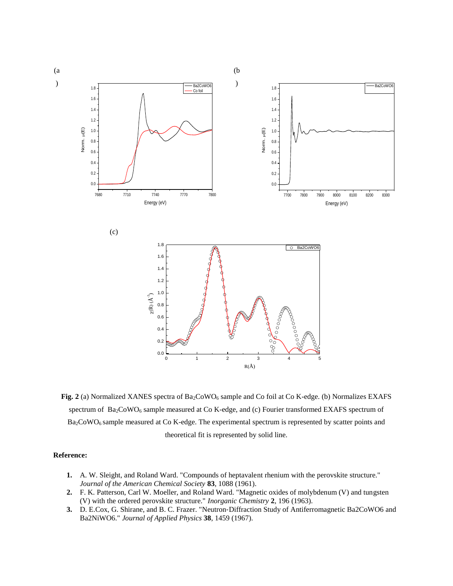

**Fig.** 2 (a) Normalized XANES spectra of Ba<sub>2</sub>CoWO<sub>6</sub> sample and Co foil at Co K-edge. (b) Normalizes EXAFS spectrum of Ba<sub>2</sub>CoWO<sub>6</sub> sample measured at Co K-edge, and (c) Fourier transformed EXAFS spectrum of  $Ba<sub>2</sub>CoWO<sub>6</sub>$  sample measured at Co K-edge. The experimental spectrum is represented by scatter points and theoretical fit is represented by solid line.

## **Reference:**

- **1.** A. W. Sleight, and Roland Ward. "Compounds of heptavalent rhenium with the perovskite structure." *Journal of the American Chemical Society* **83**, 1088 (1961).
- **2.** F. K. Patterson, Carl W. Moeller, and Roland Ward. "Magnetic oxides of molybdenum (V) and tungsten (V) with the ordered perovskite structure." *Inorganic Chemistry* **2**, 196 (1963).
- **3.** D. E.Cox, G. Shirane, and B. C. Frazer. "Neutron‐Diffraction Study of Antiferromagnetic Ba2CoWO6 and Ba2NiWO6." *Journal of Applied Physics* **38**, 1459 (1967).